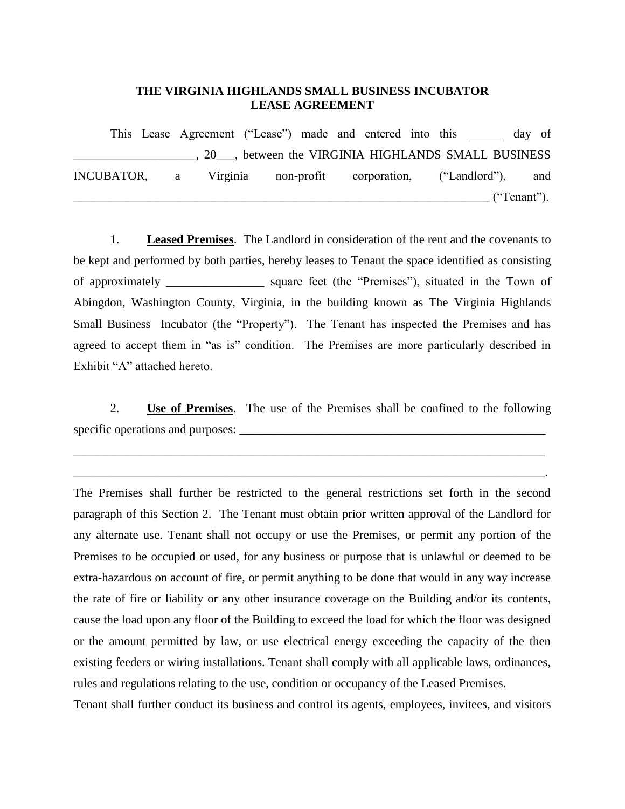## **THE VIRGINIA HIGHLANDS SMALL BUSINESS INCUBATOR LEASE AGREEMENT**

This Lease Agreement ("Lease") made and entered into this day of \_\_\_\_\_\_\_\_\_\_\_\_\_\_\_\_\_\_\_\_, 20\_\_\_, between the VIRGINIA HIGHLANDS SMALL BUSINESS INCUBATOR, a Virginia non-profit corporation, ("Landlord"), and \_\_\_\_\_\_\_\_\_\_\_\_\_\_\_\_\_\_\_\_\_\_\_\_\_\_\_\_\_\_\_\_\_\_\_\_\_\_\_\_\_\_\_\_\_\_\_\_\_\_\_\_\_\_\_\_\_\_\_\_\_\_\_\_\_\_\_\_ ("Tenant").

1. **Leased Premises**. The Landlord in consideration of the rent and the covenants to be kept and performed by both parties, hereby leases to Tenant the space identified as consisting of approximately square feet (the "Premises"), situated in the Town of Abingdon, Washington County, Virginia, in the building known as The Virginia Highlands Small Business Incubator (the "Property"). The Tenant has inspected the Premises and has agreed to accept them in "as is" condition. The Premises are more particularly described in Exhibit "A" attached hereto.

2. **Use of Premises**. The use of the Premises shall be confined to the following specific operations and purposes: \_\_\_\_\_\_\_\_\_\_\_\_\_\_\_\_\_\_\_\_\_\_\_\_\_\_\_\_\_\_\_\_\_\_\_\_\_\_\_\_\_\_\_\_\_\_\_\_\_\_

\_\_\_\_\_\_\_\_\_\_\_\_\_\_\_\_\_\_\_\_\_\_\_\_\_\_\_\_\_\_\_\_\_\_\_\_\_\_\_\_\_\_\_\_\_\_\_\_\_\_\_\_\_\_\_\_\_\_\_\_\_\_\_\_\_\_\_\_\_\_\_\_\_\_\_\_\_

\_\_\_\_\_\_\_\_\_\_\_\_\_\_\_\_\_\_\_\_\_\_\_\_\_\_\_\_\_\_\_\_\_\_\_\_\_\_\_\_\_\_\_\_\_\_\_\_\_\_\_\_\_\_\_\_\_\_\_\_\_\_\_\_\_\_\_\_\_\_\_\_\_\_\_\_\_.

The Premises shall further be restricted to the general restrictions set forth in the second paragraph of this Section 2. The Tenant must obtain prior written approval of the Landlord for any alternate use. Tenant shall not occupy or use the Premises, or permit any portion of the Premises to be occupied or used, for any business or purpose that is unlawful or deemed to be extra-hazardous on account of fire, or permit anything to be done that would in any way increase the rate of fire or liability or any other insurance coverage on the Building and/or its contents, cause the load upon any floor of the Building to exceed the load for which the floor was designed or the amount permitted by law, or use electrical energy exceeding the capacity of the then existing feeders or wiring installations. Tenant shall comply with all applicable laws, ordinances, rules and regulations relating to the use, condition or occupancy of the Leased Premises.

Tenant shall further conduct its business and control its agents, employees, invitees, and visitors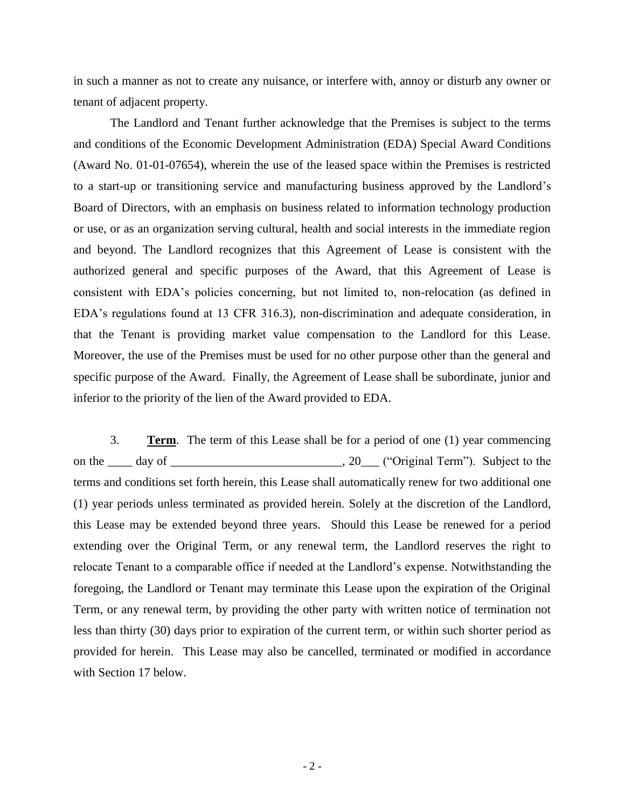in such a manner as not to create any nuisance, or interfere with, annoy or disturb any owner or tenant of adjacent property.

The Landlord and Tenant further acknowledge that the Premises is subject to the terms and conditions of the Economic Development Administration (EDA) Special Award Conditions (Award No. 01-01-07654), wherein the use of the leased space within the Premises is restricted to a start-up or transitioning service and manufacturing business approved by the Landlord's Board of Directors, with an emphasis on business related to information technology production or use, or as an organization serving cultural, health and social interests in the immediate region and beyond. The Landlord recognizes that this Agreement of Lease is consistent with the authorized general and specific purposes of the Award, that this Agreement of Lease is consistent with EDA's policies concerning, but not limited to, non-relocation (as defined in EDA's regulations found at 13 CFR 316.3), non-discrimination and adequate consideration, in that the Tenant is providing market value compensation to the Landlord for this Lease. Moreover, the use of the Premises must be used for no other purpose other than the general and specific purpose of the Award. Finally, the Agreement of Lease shall be subordinate, junior and inferior to the priority of the lien of the Award provided to EDA.

3. **Term**. The term of this Lease shall be for a period of one (1) year commencing on the \_\_\_\_ day of \_\_\_\_\_\_\_\_\_\_\_\_\_\_\_\_\_\_\_\_\_\_\_\_\_\_\_, 20\_\_\_ ("Original Term"). Subject to the terms and conditions set forth herein, this Lease shall automatically renew for two additional one (1) year periods unless terminated as provided herein. Solely at the discretion of the Landlord, this Lease may be extended beyond three years. Should this Lease be renewed for a period extending over the Original Term, or any renewal term, the Landlord reserves the right to relocate Tenant to a comparable office if needed at the Landlord's expense. Notwithstanding the foregoing, the Landlord or Tenant may terminate this Lease upon the expiration of the Original Term, or any renewal term, by providing the other party with written notice of termination not less than thirty (30) days prior to expiration of the current term, or within such shorter period as provided for herein. This Lease may also be cancelled, terminated or modified in accordance with Section 17 below.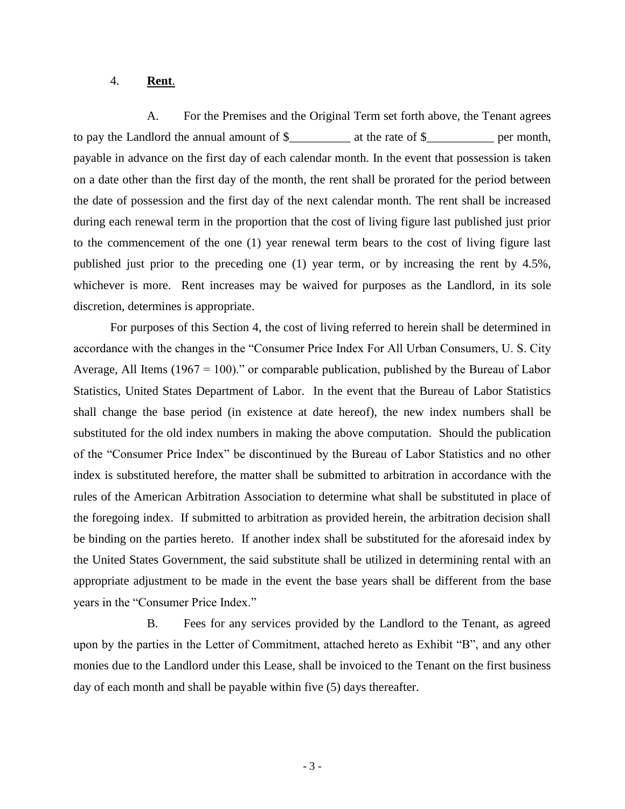### 4. **Rent**.

A. For the Premises and the Original Term set forth above, the Tenant agrees to pay the Landlord the annual amount of \$\_\_\_\_\_\_\_\_\_\_ at the rate of \$\_\_\_\_\_\_\_\_\_\_\_ per month, payable in advance on the first day of each calendar month. In the event that possession is taken on a date other than the first day of the month, the rent shall be prorated for the period between the date of possession and the first day of the next calendar month. The rent shall be increased during each renewal term in the proportion that the cost of living figure last published just prior to the commencement of the one (1) year renewal term bears to the cost of living figure last published just prior to the preceding one (1) year term, or by increasing the rent by 4.5%, whichever is more. Rent increases may be waived for purposes as the Landlord, in its sole discretion, determines is appropriate.

For purposes of this Section 4, the cost of living referred to herein shall be determined in accordance with the changes in the "Consumer Price Index For All Urban Consumers, U. S. City Average, All Items (1967 = 100)." or comparable publication, published by the Bureau of Labor Statistics, United States Department of Labor. In the event that the Bureau of Labor Statistics shall change the base period (in existence at date hereof), the new index numbers shall be substituted for the old index numbers in making the above computation. Should the publication of the "Consumer Price Index" be discontinued by the Bureau of Labor Statistics and no other index is substituted herefore, the matter shall be submitted to arbitration in accordance with the rules of the American Arbitration Association to determine what shall be substituted in place of the foregoing index. If submitted to arbitration as provided herein, the arbitration decision shall be binding on the parties hereto. If another index shall be substituted for the aforesaid index by the United States Government, the said substitute shall be utilized in determining rental with an appropriate adjustment to be made in the event the base years shall be different from the base years in the "Consumer Price Index."

B. Fees for any services provided by the Landlord to the Tenant, as agreed upon by the parties in the Letter of Commitment, attached hereto as Exhibit "B", and any other monies due to the Landlord under this Lease, shall be invoiced to the Tenant on the first business day of each month and shall be payable within five (5) days thereafter.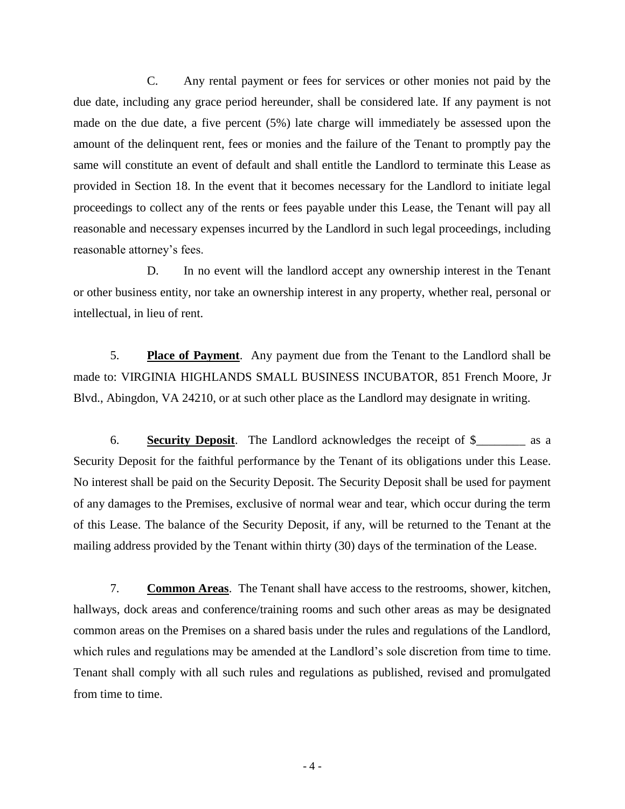C. Any rental payment or fees for services or other monies not paid by the due date, including any grace period hereunder, shall be considered late. If any payment is not made on the due date, a five percent (5%) late charge will immediately be assessed upon the amount of the delinquent rent, fees or monies and the failure of the Tenant to promptly pay the same will constitute an event of default and shall entitle the Landlord to terminate this Lease as provided in Section 18. In the event that it becomes necessary for the Landlord to initiate legal proceedings to collect any of the rents or fees payable under this Lease, the Tenant will pay all reasonable and necessary expenses incurred by the Landlord in such legal proceedings, including reasonable attorney's fees.

D. In no event will the landlord accept any ownership interest in the Tenant or other business entity, nor take an ownership interest in any property, whether real, personal or intellectual, in lieu of rent.

5. **Place of Payment**. Any payment due from the Tenant to the Landlord shall be made to: VIRGINIA HIGHLANDS SMALL BUSINESS INCUBATOR, 851 French Moore, Jr Blvd., Abingdon, VA 24210, or at such other place as the Landlord may designate in writing.

6. **Security Deposit**. The Landlord acknowledges the receipt of \$\_\_\_\_\_\_\_\_ as a Security Deposit for the faithful performance by the Tenant of its obligations under this Lease. No interest shall be paid on the Security Deposit. The Security Deposit shall be used for payment of any damages to the Premises, exclusive of normal wear and tear, which occur during the term of this Lease. The balance of the Security Deposit, if any, will be returned to the Tenant at the mailing address provided by the Tenant within thirty (30) days of the termination of the Lease.

7. **Common Areas**. The Tenant shall have access to the restrooms, shower, kitchen, hallways, dock areas and conference/training rooms and such other areas as may be designated common areas on the Premises on a shared basis under the rules and regulations of the Landlord, which rules and regulations may be amended at the Landlord's sole discretion from time to time. Tenant shall comply with all such rules and regulations as published, revised and promulgated from time to time.

- 4 -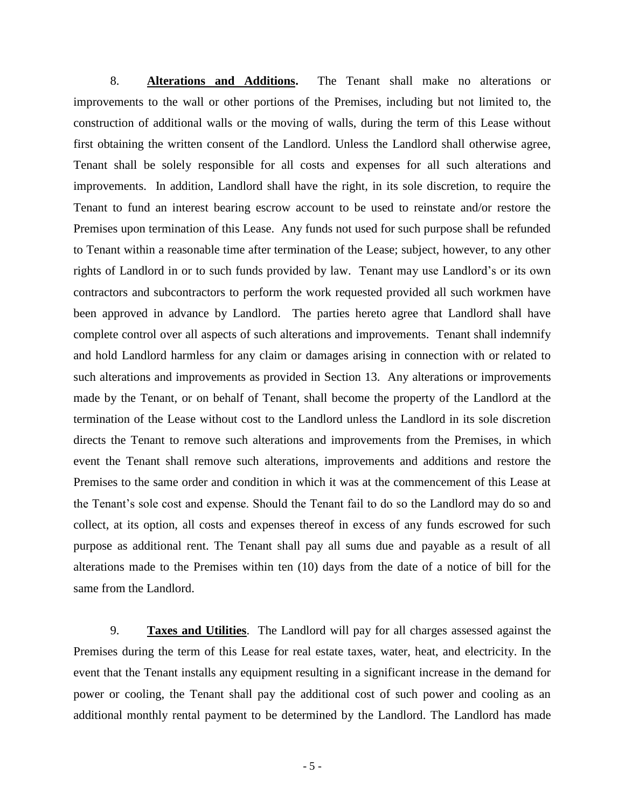8. **Alterations and Additions.** The Tenant shall make no alterations or improvements to the wall or other portions of the Premises, including but not limited to, the construction of additional walls or the moving of walls, during the term of this Lease without first obtaining the written consent of the Landlord. Unless the Landlord shall otherwise agree, Tenant shall be solely responsible for all costs and expenses for all such alterations and improvements. In addition, Landlord shall have the right, in its sole discretion, to require the Tenant to fund an interest bearing escrow account to be used to reinstate and/or restore the Premises upon termination of this Lease. Any funds not used for such purpose shall be refunded to Tenant within a reasonable time after termination of the Lease; subject, however, to any other rights of Landlord in or to such funds provided by law. Tenant may use Landlord's or its own contractors and subcontractors to perform the work requested provided all such workmen have been approved in advance by Landlord. The parties hereto agree that Landlord shall have complete control over all aspects of such alterations and improvements. Tenant shall indemnify and hold Landlord harmless for any claim or damages arising in connection with or related to such alterations and improvements as provided in Section 13. Any alterations or improvements made by the Tenant, or on behalf of Tenant, shall become the property of the Landlord at the termination of the Lease without cost to the Landlord unless the Landlord in its sole discretion directs the Tenant to remove such alterations and improvements from the Premises, in which event the Tenant shall remove such alterations, improvements and additions and restore the Premises to the same order and condition in which it was at the commencement of this Lease at the Tenant's sole cost and expense. Should the Tenant fail to do so the Landlord may do so and collect, at its option, all costs and expenses thereof in excess of any funds escrowed for such purpose as additional rent. The Tenant shall pay all sums due and payable as a result of all alterations made to the Premises within ten (10) days from the date of a notice of bill for the same from the Landlord.

9. **Taxes and Utilities**. The Landlord will pay for all charges assessed against the Premises during the term of this Lease for real estate taxes, water, heat, and electricity. In the event that the Tenant installs any equipment resulting in a significant increase in the demand for power or cooling, the Tenant shall pay the additional cost of such power and cooling as an additional monthly rental payment to be determined by the Landlord. The Landlord has made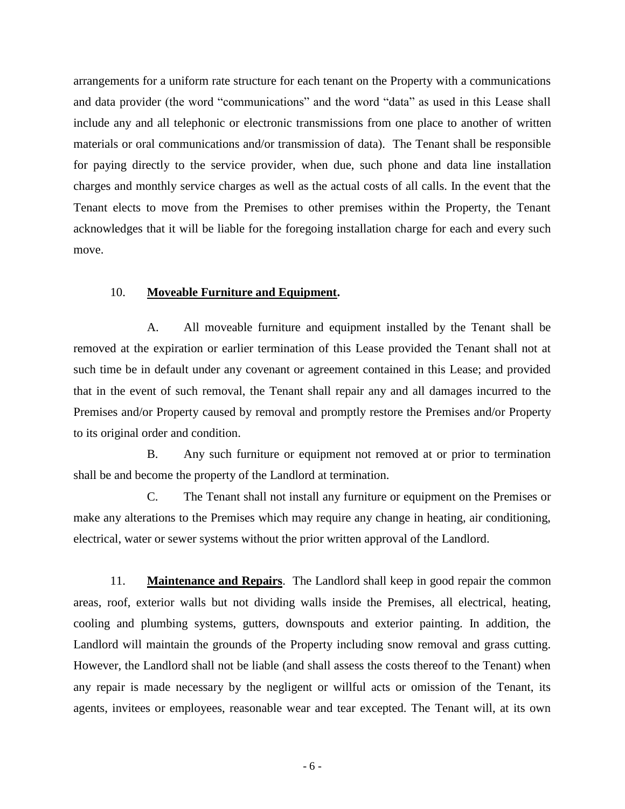arrangements for a uniform rate structure for each tenant on the Property with a communications and data provider (the word "communications" and the word "data" as used in this Lease shall include any and all telephonic or electronic transmissions from one place to another of written materials or oral communications and/or transmission of data). The Tenant shall be responsible for paying directly to the service provider, when due, such phone and data line installation charges and monthly service charges as well as the actual costs of all calls. In the event that the Tenant elects to move from the Premises to other premises within the Property, the Tenant acknowledges that it will be liable for the foregoing installation charge for each and every such move.

### 10. **Moveable Furniture and Equipment.**

A. All moveable furniture and equipment installed by the Tenant shall be removed at the expiration or earlier termination of this Lease provided the Tenant shall not at such time be in default under any covenant or agreement contained in this Lease; and provided that in the event of such removal, the Tenant shall repair any and all damages incurred to the Premises and/or Property caused by removal and promptly restore the Premises and/or Property to its original order and condition.

B. Any such furniture or equipment not removed at or prior to termination shall be and become the property of the Landlord at termination.

C. The Tenant shall not install any furniture or equipment on the Premises or make any alterations to the Premises which may require any change in heating, air conditioning, electrical, water or sewer systems without the prior written approval of the Landlord.

11. **Maintenance and Repairs**. The Landlord shall keep in good repair the common areas, roof, exterior walls but not dividing walls inside the Premises, all electrical, heating, cooling and plumbing systems, gutters, downspouts and exterior painting. In addition, the Landlord will maintain the grounds of the Property including snow removal and grass cutting. However, the Landlord shall not be liable (and shall assess the costs thereof to the Tenant) when any repair is made necessary by the negligent or willful acts or omission of the Tenant, its agents, invitees or employees, reasonable wear and tear excepted. The Tenant will, at its own

- 6 -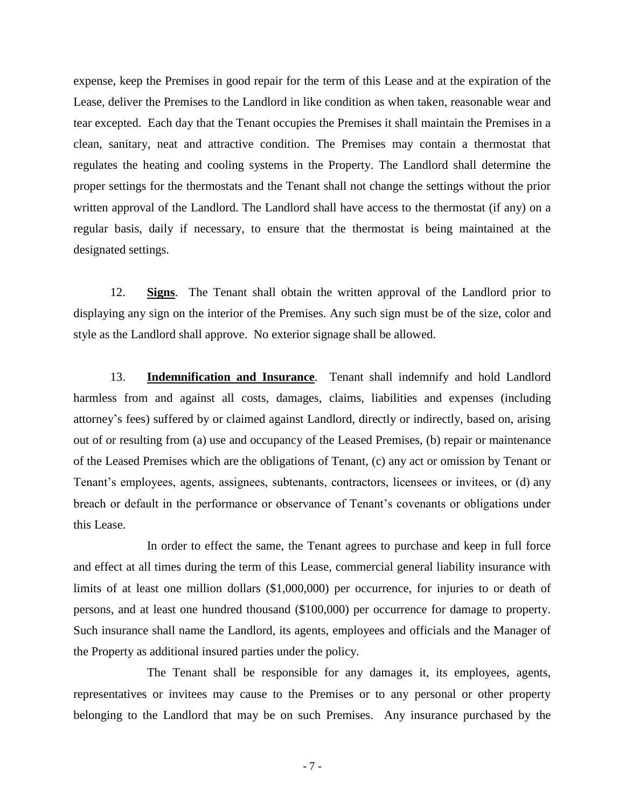expense, keep the Premises in good repair for the term of this Lease and at the expiration of the Lease, deliver the Premises to the Landlord in like condition as when taken, reasonable wear and tear excepted. Each day that the Tenant occupies the Premises it shall maintain the Premises in a clean, sanitary, neat and attractive condition. The Premises may contain a thermostat that regulates the heating and cooling systems in the Property. The Landlord shall determine the proper settings for the thermostats and the Tenant shall not change the settings without the prior written approval of the Landlord. The Landlord shall have access to the thermostat (if any) on a regular basis, daily if necessary, to ensure that the thermostat is being maintained at the designated settings.

12. **Signs**. The Tenant shall obtain the written approval of the Landlord prior to displaying any sign on the interior of the Premises. Any such sign must be of the size, color and style as the Landlord shall approve. No exterior signage shall be allowed.

13. **Indemnification and Insurance**. Tenant shall indemnify and hold Landlord harmless from and against all costs, damages, claims, liabilities and expenses (including attorney's fees) suffered by or claimed against Landlord, directly or indirectly, based on, arising out of or resulting from (a) use and occupancy of the Leased Premises, (b) repair or maintenance of the Leased Premises which are the obligations of Tenant, (c) any act or omission by Tenant or Tenant's employees, agents, assignees, subtenants, contractors, licensees or invitees, or (d) any breach or default in the performance or observance of Tenant's covenants or obligations under this Lease.

In order to effect the same, the Tenant agrees to purchase and keep in full force and effect at all times during the term of this Lease, commercial general liability insurance with limits of at least one million dollars (\$1,000,000) per occurrence, for injuries to or death of persons, and at least one hundred thousand (\$100,000) per occurrence for damage to property. Such insurance shall name the Landlord, its agents, employees and officials and the Manager of the Property as additional insured parties under the policy.

The Tenant shall be responsible for any damages it, its employees, agents, representatives or invitees may cause to the Premises or to any personal or other property belonging to the Landlord that may be on such Premises. Any insurance purchased by the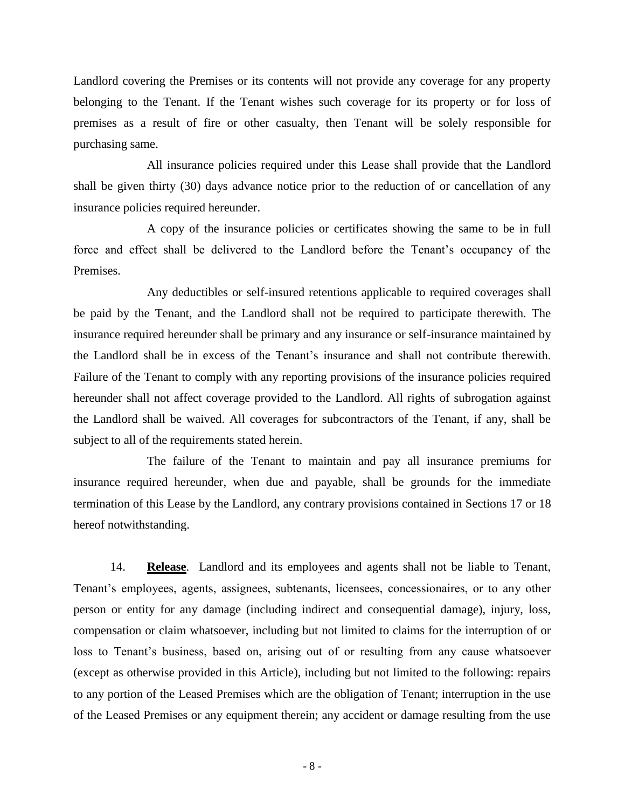Landlord covering the Premises or its contents will not provide any coverage for any property belonging to the Tenant. If the Tenant wishes such coverage for its property or for loss of premises as a result of fire or other casualty, then Tenant will be solely responsible for purchasing same.

All insurance policies required under this Lease shall provide that the Landlord shall be given thirty (30) days advance notice prior to the reduction of or cancellation of any insurance policies required hereunder.

A copy of the insurance policies or certificates showing the same to be in full force and effect shall be delivered to the Landlord before the Tenant's occupancy of the Premises.

Any deductibles or self-insured retentions applicable to required coverages shall be paid by the Tenant, and the Landlord shall not be required to participate therewith. The insurance required hereunder shall be primary and any insurance or self-insurance maintained by the Landlord shall be in excess of the Tenant's insurance and shall not contribute therewith. Failure of the Tenant to comply with any reporting provisions of the insurance policies required hereunder shall not affect coverage provided to the Landlord. All rights of subrogation against the Landlord shall be waived. All coverages for subcontractors of the Tenant, if any, shall be subject to all of the requirements stated herein.

The failure of the Tenant to maintain and pay all insurance premiums for insurance required hereunder, when due and payable, shall be grounds for the immediate termination of this Lease by the Landlord, any contrary provisions contained in Sections 17 or 18 hereof notwithstanding.

14. **Release**. Landlord and its employees and agents shall not be liable to Tenant, Tenant's employees, agents, assignees, subtenants, licensees, concessionaires, or to any other person or entity for any damage (including indirect and consequential damage), injury, loss, compensation or claim whatsoever, including but not limited to claims for the interruption of or loss to Tenant's business, based on, arising out of or resulting from any cause whatsoever (except as otherwise provided in this Article), including but not limited to the following: repairs to any portion of the Leased Premises which are the obligation of Tenant; interruption in the use of the Leased Premises or any equipment therein; any accident or damage resulting from the use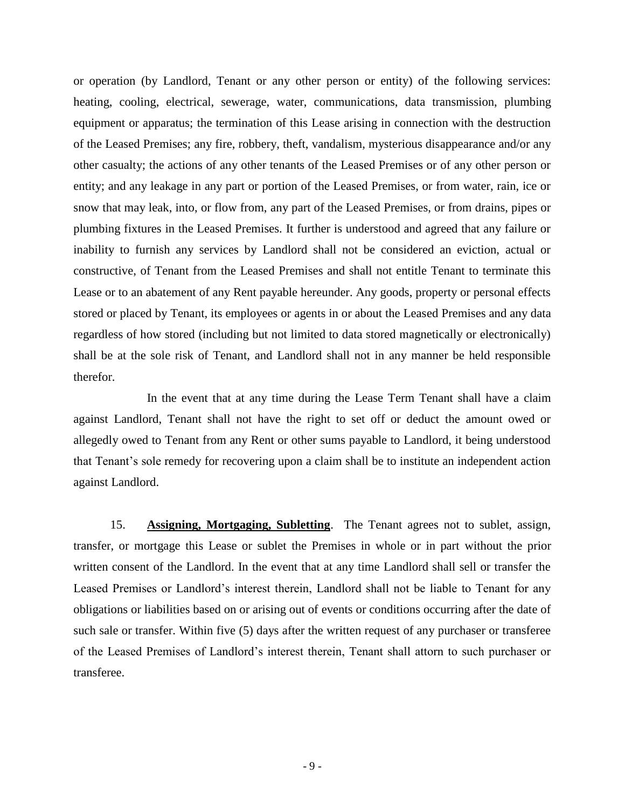or operation (by Landlord, Tenant or any other person or entity) of the following services: heating, cooling, electrical, sewerage, water, communications, data transmission, plumbing equipment or apparatus; the termination of this Lease arising in connection with the destruction of the Leased Premises; any fire, robbery, theft, vandalism, mysterious disappearance and/or any other casualty; the actions of any other tenants of the Leased Premises or of any other person or entity; and any leakage in any part or portion of the Leased Premises, or from water, rain, ice or snow that may leak, into, or flow from, any part of the Leased Premises, or from drains, pipes or plumbing fixtures in the Leased Premises. It further is understood and agreed that any failure or inability to furnish any services by Landlord shall not be considered an eviction, actual or constructive, of Tenant from the Leased Premises and shall not entitle Tenant to terminate this Lease or to an abatement of any Rent payable hereunder. Any goods, property or personal effects stored or placed by Tenant, its employees or agents in or about the Leased Premises and any data regardless of how stored (including but not limited to data stored magnetically or electronically) shall be at the sole risk of Tenant, and Landlord shall not in any manner be held responsible therefor.

In the event that at any time during the Lease Term Tenant shall have a claim against Landlord, Tenant shall not have the right to set off or deduct the amount owed or allegedly owed to Tenant from any Rent or other sums payable to Landlord, it being understood that Tenant's sole remedy for recovering upon a claim shall be to institute an independent action against Landlord.

15. **Assigning, Mortgaging, Subletting**. The Tenant agrees not to sublet, assign, transfer, or mortgage this Lease or sublet the Premises in whole or in part without the prior written consent of the Landlord. In the event that at any time Landlord shall sell or transfer the Leased Premises or Landlord's interest therein, Landlord shall not be liable to Tenant for any obligations or liabilities based on or arising out of events or conditions occurring after the date of such sale or transfer. Within five (5) days after the written request of any purchaser or transferee of the Leased Premises of Landlord's interest therein, Tenant shall attorn to such purchaser or transferee.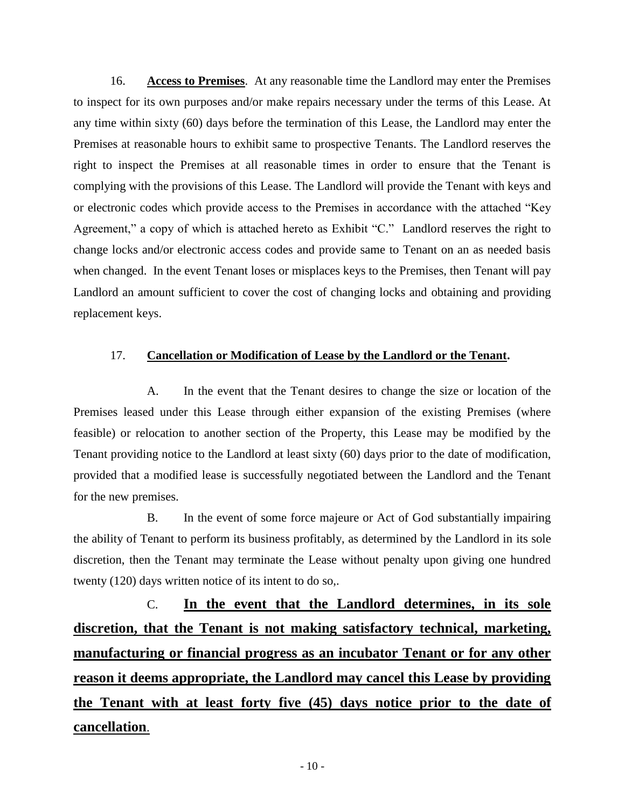16. **Access to Premises**. At any reasonable time the Landlord may enter the Premises to inspect for its own purposes and/or make repairs necessary under the terms of this Lease. At any time within sixty (60) days before the termination of this Lease, the Landlord may enter the Premises at reasonable hours to exhibit same to prospective Tenants. The Landlord reserves the right to inspect the Premises at all reasonable times in order to ensure that the Tenant is complying with the provisions of this Lease. The Landlord will provide the Tenant with keys and or electronic codes which provide access to the Premises in accordance with the attached "Key Agreement," a copy of which is attached hereto as Exhibit "C." Landlord reserves the right to change locks and/or electronic access codes and provide same to Tenant on an as needed basis when changed. In the event Tenant loses or misplaces keys to the Premises, then Tenant will pay Landlord an amount sufficient to cover the cost of changing locks and obtaining and providing replacement keys.

## 17. **Cancellation or Modification of Lease by the Landlord or the Tenant.**

A. In the event that the Tenant desires to change the size or location of the Premises leased under this Lease through either expansion of the existing Premises (where feasible) or relocation to another section of the Property, this Lease may be modified by the Tenant providing notice to the Landlord at least sixty (60) days prior to the date of modification, provided that a modified lease is successfully negotiated between the Landlord and the Tenant for the new premises.

B. In the event of some force majeure or Act of God substantially impairing the ability of Tenant to perform its business profitably, as determined by the Landlord in its sole discretion, then the Tenant may terminate the Lease without penalty upon giving one hundred twenty (120) days written notice of its intent to do so,.

C. **In the event that the Landlord determines, in its sole discretion, that the Tenant is not making satisfactory technical, marketing, manufacturing or financial progress as an incubator Tenant or for any other reason it deems appropriate, the Landlord may cancel this Lease by providing the Tenant with at least forty five (45) days notice prior to the date of cancellation**.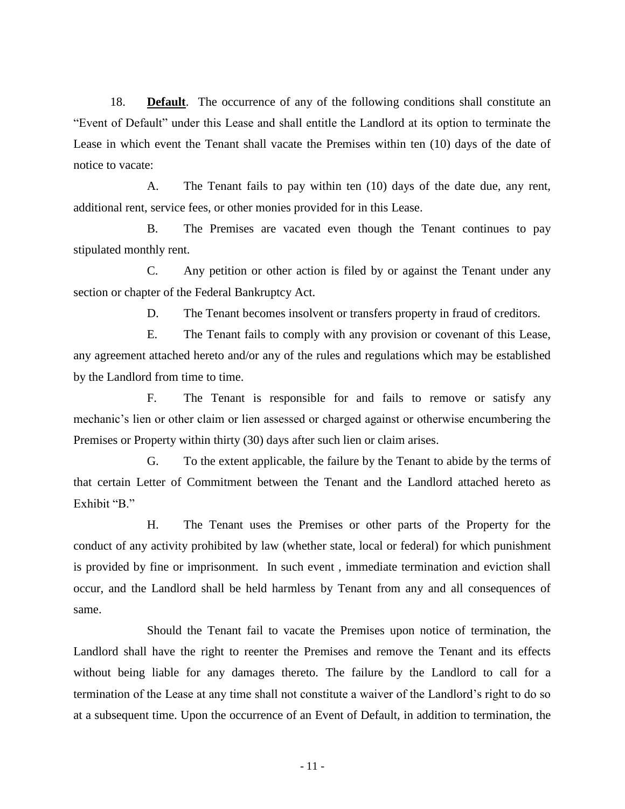18. **Default**. The occurrence of any of the following conditions shall constitute an "Event of Default" under this Lease and shall entitle the Landlord at its option to terminate the Lease in which event the Tenant shall vacate the Premises within ten (10) days of the date of notice to vacate:

A. The Tenant fails to pay within ten (10) days of the date due, any rent, additional rent, service fees, or other monies provided for in this Lease.

B. The Premises are vacated even though the Tenant continues to pay stipulated monthly rent.

C. Any petition or other action is filed by or against the Tenant under any section or chapter of the Federal Bankruptcy Act.

D. The Tenant becomes insolvent or transfers property in fraud of creditors.

E. The Tenant fails to comply with any provision or covenant of this Lease, any agreement attached hereto and/or any of the rules and regulations which may be established by the Landlord from time to time.

F. The Tenant is responsible for and fails to remove or satisfy any mechanic's lien or other claim or lien assessed or charged against or otherwise encumbering the Premises or Property within thirty (30) days after such lien or claim arises.

G. To the extent applicable, the failure by the Tenant to abide by the terms of that certain Letter of Commitment between the Tenant and the Landlord attached hereto as Exhibit "B."

H. The Tenant uses the Premises or other parts of the Property for the conduct of any activity prohibited by law (whether state, local or federal) for which punishment is provided by fine or imprisonment. In such event , immediate termination and eviction shall occur, and the Landlord shall be held harmless by Tenant from any and all consequences of same.

Should the Tenant fail to vacate the Premises upon notice of termination, the Landlord shall have the right to reenter the Premises and remove the Tenant and its effects without being liable for any damages thereto. The failure by the Landlord to call for a termination of the Lease at any time shall not constitute a waiver of the Landlord's right to do so at a subsequent time. Upon the occurrence of an Event of Default, in addition to termination, the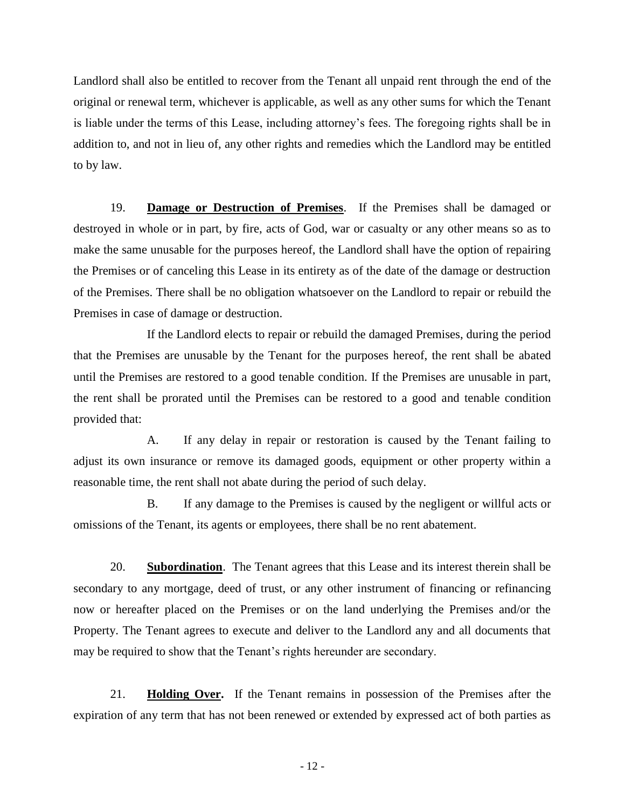Landlord shall also be entitled to recover from the Tenant all unpaid rent through the end of the original or renewal term, whichever is applicable, as well as any other sums for which the Tenant is liable under the terms of this Lease, including attorney's fees. The foregoing rights shall be in addition to, and not in lieu of, any other rights and remedies which the Landlord may be entitled to by law.

19. **Damage or Destruction of Premises**. If the Premises shall be damaged or destroyed in whole or in part, by fire, acts of God, war or casualty or any other means so as to make the same unusable for the purposes hereof, the Landlord shall have the option of repairing the Premises or of canceling this Lease in its entirety as of the date of the damage or destruction of the Premises. There shall be no obligation whatsoever on the Landlord to repair or rebuild the Premises in case of damage or destruction.

If the Landlord elects to repair or rebuild the damaged Premises, during the period that the Premises are unusable by the Tenant for the purposes hereof, the rent shall be abated until the Premises are restored to a good tenable condition. If the Premises are unusable in part, the rent shall be prorated until the Premises can be restored to a good and tenable condition provided that:

A. If any delay in repair or restoration is caused by the Tenant failing to adjust its own insurance or remove its damaged goods, equipment or other property within a reasonable time, the rent shall not abate during the period of such delay.

B. If any damage to the Premises is caused by the negligent or willful acts or omissions of the Tenant, its agents or employees, there shall be no rent abatement.

20. **Subordination**. The Tenant agrees that this Lease and its interest therein shall be secondary to any mortgage, deed of trust, or any other instrument of financing or refinancing now or hereafter placed on the Premises or on the land underlying the Premises and/or the Property. The Tenant agrees to execute and deliver to the Landlord any and all documents that may be required to show that the Tenant's rights hereunder are secondary.

21. **Holding Over.** If the Tenant remains in possession of the Premises after the expiration of any term that has not been renewed or extended by expressed act of both parties as

- 12 -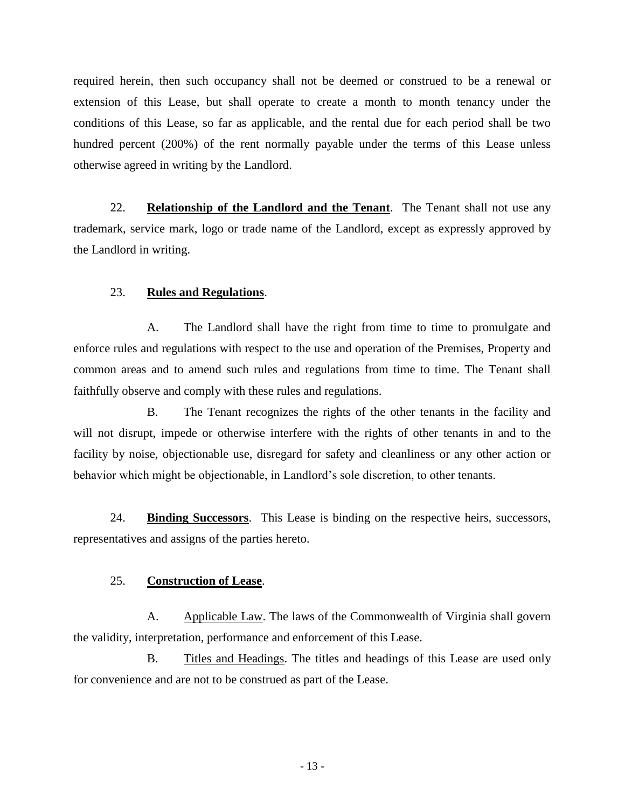required herein, then such occupancy shall not be deemed or construed to be a renewal or extension of this Lease, but shall operate to create a month to month tenancy under the conditions of this Lease, so far as applicable, and the rental due for each period shall be two hundred percent (200%) of the rent normally payable under the terms of this Lease unless otherwise agreed in writing by the Landlord.

22. **Relationship of the Landlord and the Tenant**. The Tenant shall not use any trademark, service mark, logo or trade name of the Landlord, except as expressly approved by the Landlord in writing.

### 23. **Rules and Regulations**.

A. The Landlord shall have the right from time to time to promulgate and enforce rules and regulations with respect to the use and operation of the Premises, Property and common areas and to amend such rules and regulations from time to time. The Tenant shall faithfully observe and comply with these rules and regulations.

B. The Tenant recognizes the rights of the other tenants in the facility and will not disrupt, impede or otherwise interfere with the rights of other tenants in and to the facility by noise, objectionable use, disregard for safety and cleanliness or any other action or behavior which might be objectionable, in Landlord's sole discretion, to other tenants.

24. **Binding Successors**. This Lease is binding on the respective heirs, successors, representatives and assigns of the parties hereto.

### 25. **Construction of Lease**.

A. Applicable Law. The laws of the Commonwealth of Virginia shall govern the validity, interpretation, performance and enforcement of this Lease.

B. Titles and Headings. The titles and headings of this Lease are used only for convenience and are not to be construed as part of the Lease.

- 13 -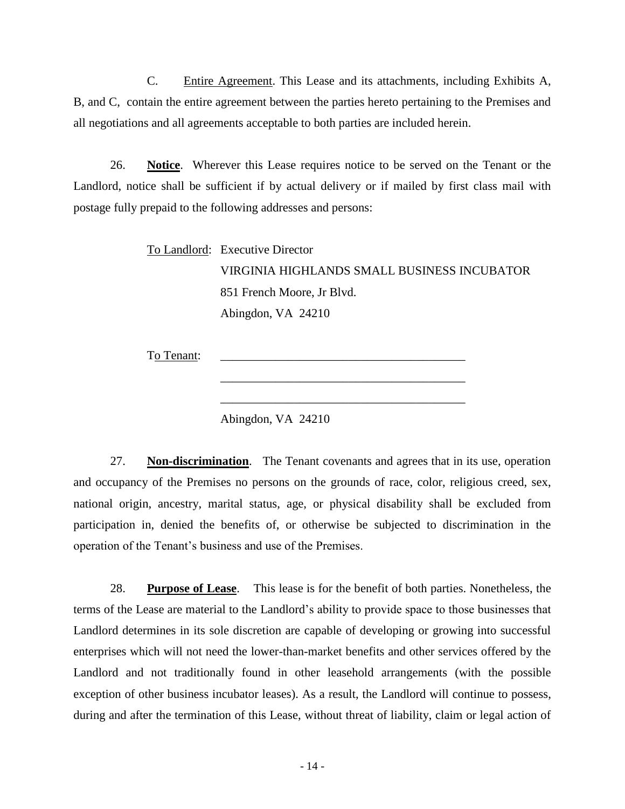C. Entire Agreement. This Lease and its attachments, including Exhibits A, B, and C, contain the entire agreement between the parties hereto pertaining to the Premises and all negotiations and all agreements acceptable to both parties are included herein.

26. **Notice**. Wherever this Lease requires notice to be served on the Tenant or the Landlord, notice shall be sufficient if by actual delivery or if mailed by first class mail with postage fully prepaid to the following addresses and persons:

> To Landlord: Executive Director VIRGINIA HIGHLANDS SMALL BUSINESS INCUBATOR 851 French Moore, Jr Blvd. Abingdon, VA 24210

> > \_\_\_\_\_\_\_\_\_\_\_\_\_\_\_\_\_\_\_\_\_\_\_\_\_\_\_\_\_\_\_\_\_\_\_\_\_\_\_\_

\_\_\_\_\_\_\_\_\_\_\_\_\_\_\_\_\_\_\_\_\_\_\_\_\_\_\_\_\_\_\_\_\_\_\_\_\_\_\_\_

To Tenant:

Abingdon, VA 24210

27. **Non-discrimination**. The Tenant covenants and agrees that in its use, operation and occupancy of the Premises no persons on the grounds of race, color, religious creed, sex, national origin, ancestry, marital status, age, or physical disability shall be excluded from participation in, denied the benefits of, or otherwise be subjected to discrimination in the operation of the Tenant's business and use of the Premises.

28. **Purpose of Lease**. This lease is for the benefit of both parties. Nonetheless, the terms of the Lease are material to the Landlord's ability to provide space to those businesses that Landlord determines in its sole discretion are capable of developing or growing into successful enterprises which will not need the lower-than-market benefits and other services offered by the Landlord and not traditionally found in other leasehold arrangements (with the possible exception of other business incubator leases). As a result, the Landlord will continue to possess, during and after the termination of this Lease, without threat of liability, claim or legal action of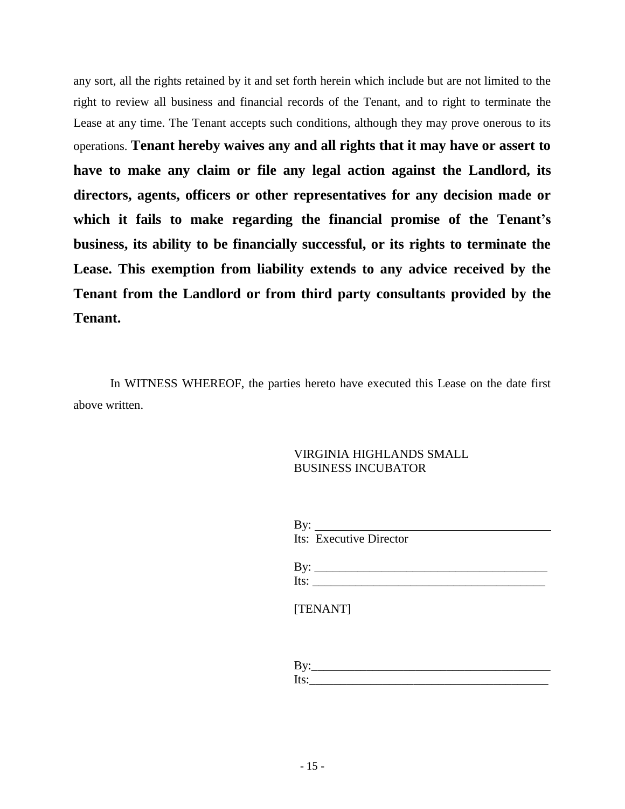any sort, all the rights retained by it and set forth herein which include but are not limited to the right to review all business and financial records of the Tenant, and to right to terminate the Lease at any time. The Tenant accepts such conditions, although they may prove onerous to its operations. **Tenant hereby waives any and all rights that it may have or assert to have to make any claim or file any legal action against the Landlord, its directors, agents, officers or other representatives for any decision made or which it fails to make regarding the financial promise of the Tenant's business, its ability to be financially successful, or its rights to terminate the Lease. This exemption from liability extends to any advice received by the Tenant from the Landlord or from third party consultants provided by the Tenant.** 

In WITNESS WHEREOF, the parties hereto have executed this Lease on the date first above written.

## VIRGINIA HIGHLANDS SMALL BUSINESS INCUBATOR

|      | By: _______             |
|------|-------------------------|
|      | Its: Executive Director |
|      |                         |
| By:  |                         |
| Its: |                         |

[TENANT]

| , ν.    |  |  |
|---------|--|--|
| - ITC * |  |  |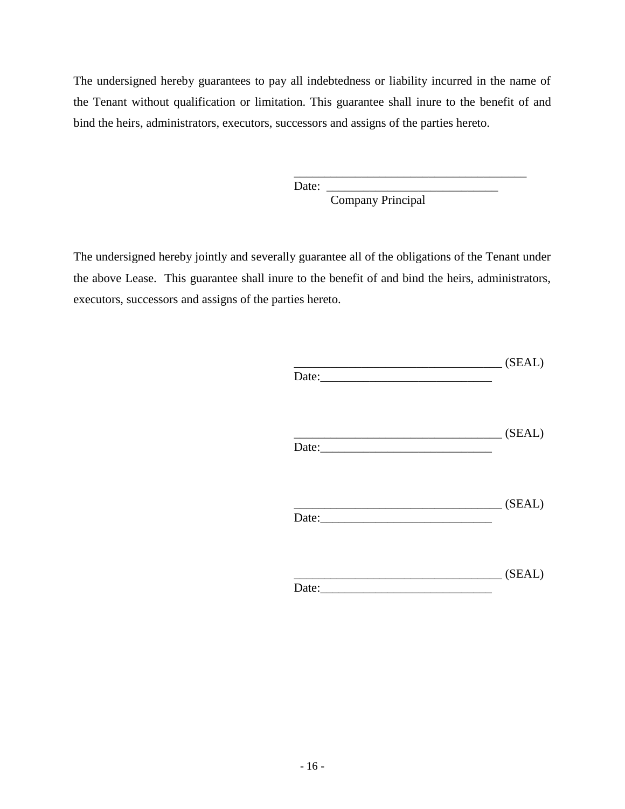The undersigned hereby guarantees to pay all indebtedness or liability incurred in the name of the Tenant without qualification or limitation. This guarantee shall inure to the benefit of and bind the heirs, administrators, executors, successors and assigns of the parties hereto.

Date:

Company Principal

\_\_\_\_\_\_\_\_\_\_\_\_\_\_\_\_\_\_\_\_\_\_\_\_\_\_\_\_\_\_\_\_\_\_\_\_\_\_

The undersigned hereby jointly and severally guarantee all of the obligations of the Tenant under the above Lease. This guarantee shall inure to the benefit of and bind the heirs, administrators, executors, successors and assigns of the parties hereto.

| Date: $\frac{1}{2}$ |                                                      |
|---------------------|------------------------------------------------------|
|                     | (SEAL)                                               |
|                     |                                                      |
|                     | $\begin{array}{c} \hline \text{ (SEAL)} \end{array}$ |
| Date:               |                                                      |
|                     | $\begin{tabular}{c} 1.1 \end{tabular} (SEAL)$        |
| Date: $\frac{1}{2}$ |                                                      |
|                     |                                                      |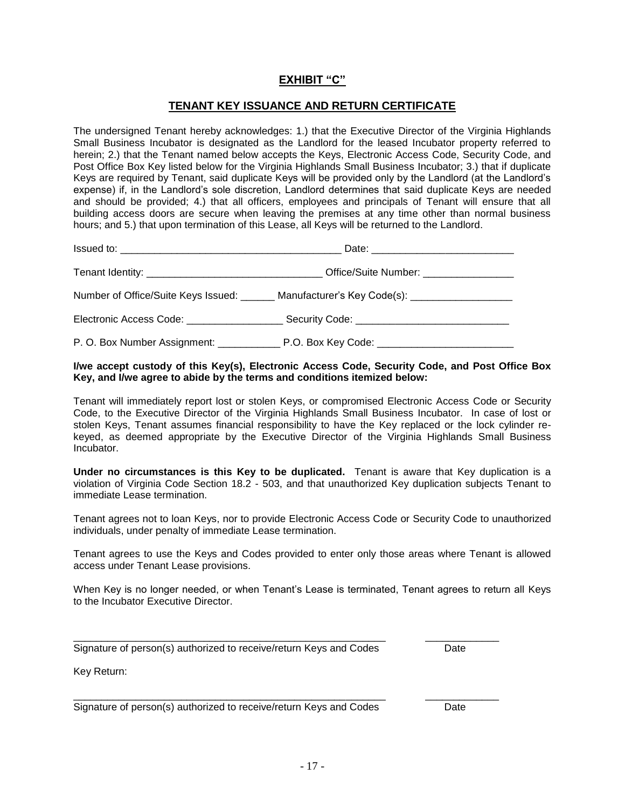## **EXHIBIT "C"**

### **TENANT KEY ISSUANCE AND RETURN CERTIFICATE**

The undersigned Tenant hereby acknowledges: 1.) that the Executive Director of the Virginia Highlands Small Business Incubator is designated as the Landlord for the leased Incubator property referred to herein; 2.) that the Tenant named below accepts the Keys, Electronic Access Code, Security Code, and Post Office Box Key listed below for the Virginia Highlands Small Business Incubator; 3.) that if duplicate Keys are required by Tenant, said duplicate Keys will be provided only by the Landlord (at the Landlord's expense) if, in the Landlord's sole discretion, Landlord determines that said duplicate Keys are needed and should be provided; 4.) that all officers, employees and principals of Tenant will ensure that all building access doors are secure when leaving the premises at any time other than normal business hours; and 5.) that upon termination of this Lease, all Keys will be returned to the Landlord.

| Number of Office/Suite Keys Issued: _______ Manufacturer's Key Code(s): ___________________________  |
|------------------------------------------------------------------------------------------------------|
| Electronic Access Code: ___________________________Security Code: __________________________________ |
|                                                                                                      |

#### **I/we accept custody of this Key(s), Electronic Access Code, Security Code, and Post Office Box Key, and I/we agree to abide by the terms and conditions itemized below:**

Tenant will immediately report lost or stolen Keys, or compromised Electronic Access Code or Security Code, to the Executive Director of the Virginia Highlands Small Business Incubator. In case of lost or stolen Keys, Tenant assumes financial responsibility to have the Key replaced or the lock cylinder rekeyed, as deemed appropriate by the Executive Director of the Virginia Highlands Small Business Incubator.

**Under no circumstances is this Key to be duplicated.** Tenant is aware that Key duplication is a violation of Virginia Code Section 18.2 - 503, and that unauthorized Key duplication subjects Tenant to immediate Lease termination.

Tenant agrees not to loan Keys, nor to provide Electronic Access Code or Security Code to unauthorized individuals, under penalty of immediate Lease termination.

Tenant agrees to use the Keys and Codes provided to enter only those areas where Tenant is allowed access under Tenant Lease provisions.

When Key is no longer needed, or when Tenant's Lease is terminated, Tenant agrees to return all Keys to the Incubator Executive Director.

\_\_\_\_\_\_\_\_\_\_\_\_\_\_\_\_\_\_\_\_\_\_\_\_\_\_\_\_\_\_\_\_\_\_\_\_\_\_\_\_\_\_\_\_\_\_\_\_\_\_\_\_\_\_\_ \_\_\_\_\_\_\_\_\_\_\_\_\_

\_\_\_\_\_\_\_\_\_\_\_\_\_\_\_\_\_\_\_\_\_\_\_\_\_\_\_\_\_\_\_\_\_\_\_\_\_\_\_\_\_\_\_\_\_\_\_\_\_\_\_\_\_\_\_ \_\_\_\_\_\_\_\_\_\_\_\_\_

Signature of person(s) authorized to receive/return Keys and Codes Date

Key Return:

Signature of person(s) authorized to receive/return Keys and Codes Date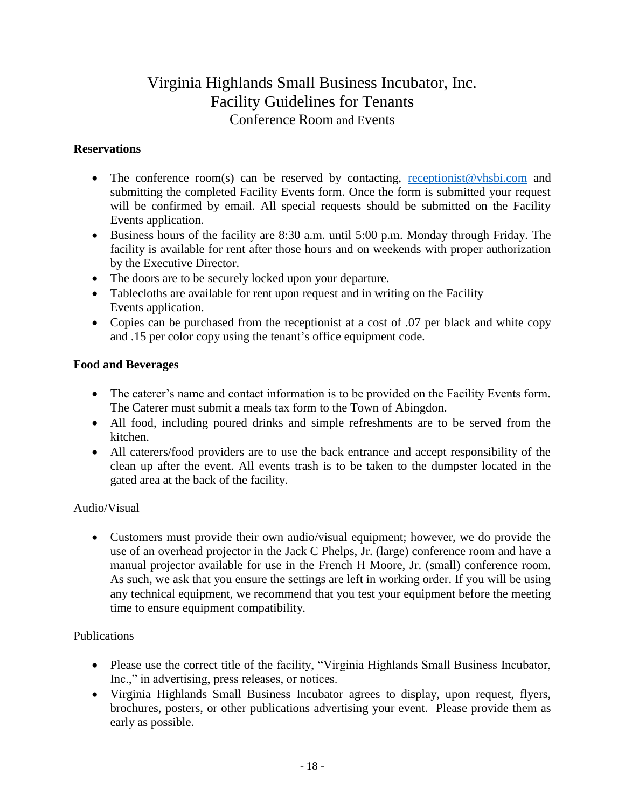# Virginia Highlands Small Business Incubator, Inc. Facility Guidelines for Tenants Conference Room and Events

## **Reservations**

- The conference room(s) can be reserved by contacting, [receptionist@vhsbi.com](mailto:receptionist@vhsbi.com) and submitting the completed Facility Events form. Once the form is submitted your request will be confirmed by email. All special requests should be submitted on the Facility Events application.
- Business hours of the facility are 8:30 a.m. until 5:00 p.m. Monday through Friday. The facility is available for rent after those hours and on weekends with proper authorization by the Executive Director.
- The doors are to be securely locked upon your departure.
- Tablecloths are available for rent upon request and in writing on the Facility Events application.
- Copies can be purchased from the receptionist at a cost of .07 per black and white copy and .15 per color copy using the tenant's office equipment code.

# **Food and Beverages**

- The caterer's name and contact information is to be provided on the Facility Events form. The Caterer must submit a meals tax form to the Town of Abingdon.
- All food, including poured drinks and simple refreshments are to be served from the kitchen.
- All caterers/food providers are to use the back entrance and accept responsibility of the clean up after the event. All events trash is to be taken to the dumpster located in the gated area at the back of the facility.

# Audio/Visual

 Customers must provide their own audio/visual equipment; however, we do provide the use of an overhead projector in the Jack C Phelps, Jr. (large) conference room and have a manual projector available for use in the French H Moore, Jr. (small) conference room. As such, we ask that you ensure the settings are left in working order. If you will be using any technical equipment, we recommend that you test your equipment before the meeting time to ensure equipment compatibility.

## Publications

- Please use the correct title of the facility, "Virginia Highlands Small Business Incubator, Inc.," in advertising, press releases, or notices.
- Virginia Highlands Small Business Incubator agrees to display, upon request, flyers, brochures, posters, or other publications advertising your event. Please provide them as early as possible.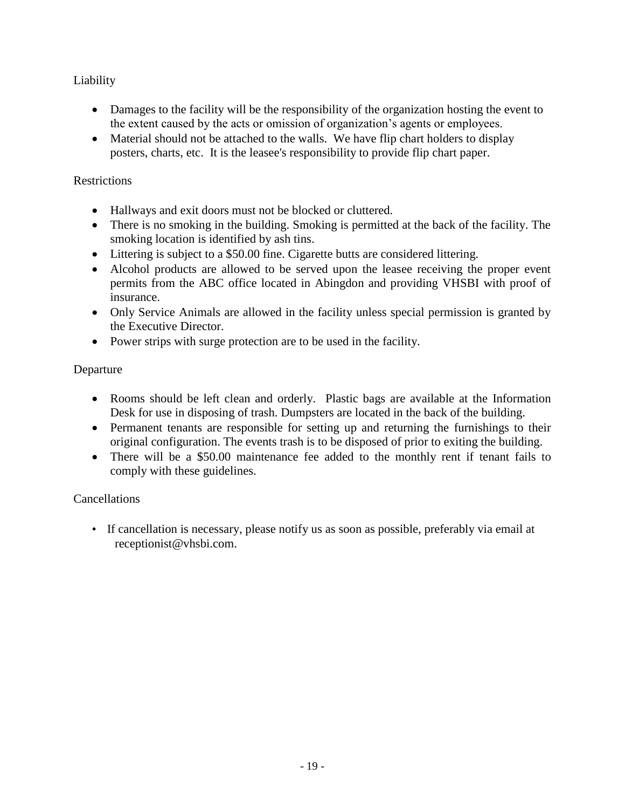# Liability

- Damages to the facility will be the responsibility of the organization hosting the event to the extent caused by the acts or omission of organization's agents or employees.
- Material should not be attached to the walls. We have flip chart holders to display posters, charts, etc. It is the leasee's responsibility to provide flip chart paper.

## **Restrictions**

- Hallways and exit doors must not be blocked or cluttered.
- There is no smoking in the building. Smoking is permitted at the back of the facility. The smoking location is identified by ash tins.
- Littering is subject to a \$50.00 fine. Cigarette butts are considered littering.
- Alcohol products are allowed to be served upon the leasee receiving the proper event permits from the ABC office located in Abingdon and providing VHSBI with proof of insurance.
- Only Service Animals are allowed in the facility unless special permission is granted by the Executive Director.
- Power strips with surge protection are to be used in the facility.

# Departure

- Rooms should be left clean and orderly. Plastic bags are available at the Information Desk for use in disposing of trash. Dumpsters are located in the back of the building.
- Permanent tenants are responsible for setting up and returning the furnishings to their original configuration. The events trash is to be disposed of prior to exiting the building.
- There will be a \$50.00 maintenance fee added to the monthly rent if tenant fails to comply with these guidelines.

# Cancellations

• If cancellation is necessary, please notify us as soon as possible, preferably via email at receptionist@vhsbi.com.